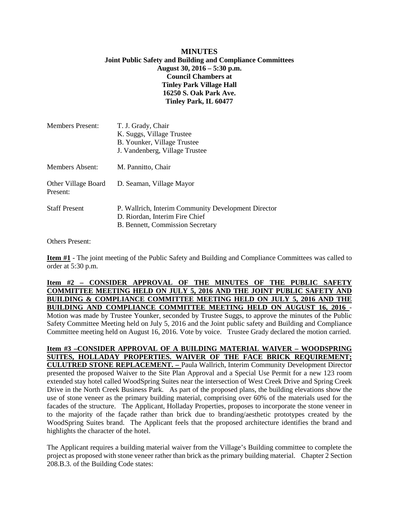### **MINUTES Joint Public Safety and Building and Compliance Committees August 30, 2016 – 5:30 p.m. Council Chambers at Tinley Park Village Hall 16250 S. Oak Park Ave. Tinley Park, IL 60477**

| <b>Members Present:</b>         | T. J. Grady, Chair<br>K. Suggs, Village Trustee<br>B. Younker, Village Trustee<br>J. Vandenberg, Village Trustee          |
|---------------------------------|---------------------------------------------------------------------------------------------------------------------------|
| Members Absent:                 | M. Pannitto, Chair                                                                                                        |
| Other Village Board<br>Present: | D. Seaman, Village Mayor                                                                                                  |
| <b>Staff Present</b>            | P. Wallrich, Interim Community Development Director<br>D. Riordan, Interim Fire Chief<br>B. Bennett, Commission Secretary |

Others Present:

**Item #1** - The joint meeting of the Public Safety and Building and Compliance Committees was called to order at  $5:30$  p.m.

# **Item #2 – CONSIDER APPROVAL OF THE MINUTES OF THE PUBLIC SAFETY COMMITTEE MEETING HELD ON JULY 5, 2016 AND THE JOINT PUBLIC SAFETY AND BUILDING & COMPLIANCE COMMITTEE MEETING HELD ON JULY 5, 2016 AND THE BUILDING AND COMPLIANCE COMMITTEE MEETING HELD ON AUGUST 16, 2016** - Motion was made by Trustee Younker, seconded by Trustee Suggs, to approve the minutes of the Public Safety Committee Meeting held on July 5, 2016 and the Joint public safety and Building and Compliance Committee meeting held on August 16, 2016. Vote by voice. Trustee Grady declared the motion carried.

**Item #3 –CONSIDER APPROVAL OF A BUILDING MATERIAL WAIVER – WOODSPRING SUITES, HOLLADAY PROPERTIES. WAIVER OF THE FACE BRICK REQUIREMENT; CULUTRED STONE REPLACEMENT. –** Paula Wallrich, Interim Community Development Director presented the proposed Waiver to the Site Plan Approval and a Special Use Permit for a new 123 room extended stay hotel called WoodSpring Suites near the intersection of West Creek Drive and Spring Creek Drive in the North Creek Business Park. As part of the proposed plans, the building elevations show the use of stone veneer as the primary building material, comprising over 60% of the materials used for the facades of the structure. The Applicant, Holladay Properties, proposes to incorporate the stone veneer in to the majority of the façade rather than brick due to branding/aesthetic prototypes created by the WoodSpring Suites brand. The Applicant feels that the proposed architecture identifies the brand and highlights the character of the hotel.

The Applicant requires a building material waiver from the Village's Building committee to complete the project as proposed with stone veneer rather than brick as the primary building material. Chapter 2 Section 208.B.3. of the Building Code states: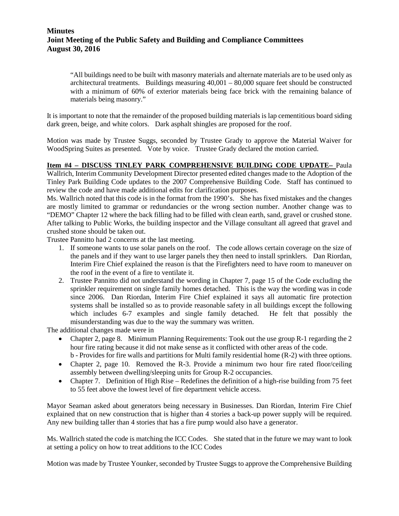# **Minutes Joint Meeting of the Public Safety and Building and Compliance Committees August 30, 2016**

"All buildings need to be built with masonry materials and alternate materials are to be used only as architectural treatments. Buildings measuring 40,001 – 80,000 square feet should be constructed with a minimum of 60% of exterior materials being face brick with the remaining balance of materials being masonry."

It is important to note that the remainder of the proposed building materials is lap cementitious board siding dark green, beige, and white colors. Dark asphalt shingles are proposed for the roof.

Motion was made by Trustee Suggs, seconded by Trustee Grady to approve the Material Waiver for WoodSpring Suites as presented. Vote by voice. Trustee Grady declared the motion carried.

**Item #4 – DISCUSS TINLEY PARK COMPREHENSIVE BUILDING CODE UPDATE–** Paula Wallrich, Interim Community Development Director presented edited changes made to the Adoption of the Tinley Park Building Code updates to the 2007 Comprehensive Building Code. Staff has continued to review the code and have made additional edits for clarification purposes.

Ms. Wallrich noted that this code is in the format from the 1990's. She has fixed mistakes and the changes are mostly limited to grammar or redundancies or the wrong section number. Another change was to "DEMO" Chapter 12 where the back filling had to be filled with clean earth, sand, gravel or crushed stone. After talking to Public Works, the building inspector and the Village consultant all agreed that gravel and crushed stone should be taken out.

Trustee Pannitto had 2 concerns at the last meeting.

- 1. If someone wants to use solar panels on the roof. The code allows certain coverage on the size of the panels and if they want to use larger panels they then need to install sprinklers. Dan Riordan, Interim Fire Chief explained the reason is that the Firefighters need to have room to maneuver on the roof in the event of a fire to ventilate it.
- 2. Trustee Pannitto did not understand the wording in Chapter 7, page 15 of the Code excluding the sprinkler requirement on single family homes detached. This is the way the wording was in code since 2006. Dan Riordan, Interim Fire Chief explained it says all automatic fire protection systems shall be installed so as to provide reasonable safety in all buildings except the following which includes 6-7 examples and single family detached. He felt that possibly the misunderstanding was due to the way the summary was written.

The additional changes made were in

- Chapter 2, page 8. Minimum Planning Requirements: Took out the use group R-1 regarding the 2 hour fire rating because it did not make sense as it conflicted with other areas of the code. b - Provides for fire walls and partitions for Multi family residential home (R-2) with three options.
- Chapter 2, page 10. Removed the R-3. Provide a minimum two hour fire rated floor/ceiling
- assembly between dwelling/sleeping units for Group R-2 occupancies.
- Chapter 7. Definition of High Rise Redefines the definition of a high-rise building from 75 feet to 55 feet above the lowest level of fire department vehicle access.

Mayor Seaman asked about generators being necessary in Businesses. Dan Riordan, Interim Fire Chief explained that on new construction that is higher than 4 stories a back-up power supply will be required. Any new building taller than 4 stories that has a fire pump would also have a generator.

Ms. Wallrich stated the code is matching the ICC Codes. She stated that in the future we may want to look at setting a policy on how to treat additions to the ICC Codes

Motion was made by Trustee Younker, seconded by Trustee Suggs to approve the Comprehensive Building